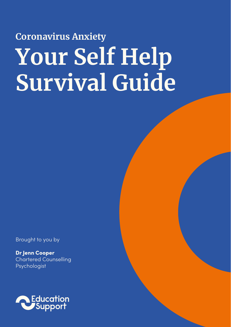# **Coronavirus Anxiety Your Self Help Survival Guide**

Brought to you by

Dr Jenn Cooper Chartered Counselling Psychologist

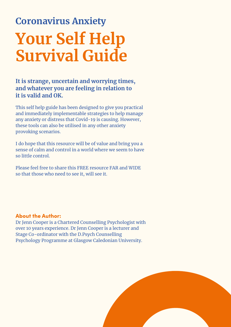### **Coronavirus Anxiety Your Self Help Survival Guide**

#### **It is strange, uncertain and worrying times, and whatever you are feeling in relation to it is valid and OK.**

This self help guide has been designed to give you practical and immediately implementable strategies to help manage any anxiety or distress that Covid-19 is causing. However, these tools can also be utilised in any other anxiety provoking scenarios.

I do hope that this resource will be of value and bring you a sense of calm and control in a world where we seem to have so little control.

Please feel free to share this FREE resource FAR and WIDE so that those who need to see it, will see it.

#### About the Author:

Dr Jenn Cooper is a Chartered Counselling Psychologist with over 10 years experience. Dr Jenn Cooper is a lecturer and Stage Co-ordinator with the D.Psych Counselling Psychology Programme at Glasgow Caledonian University.

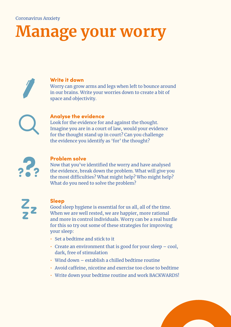## **Manage your worry**

Write it down Worry can grow arms and legs when left to bounce around in our brains. Write your worries down to create a bit of space and objectivity.

#### Analyse the evidence

Look for the evidence for and against the thought. Imagine you are in a court of law, would your evidence for the thought stand up in court? Can you challenge the evidence you identify as 'for' the thought?



#### Problem solve

Now that you've identified the worry and have analysed the evidence, break down the problem. What will give you the most difficulties? What might help? Who might help? What do you need to solve the problem?



#### Sleep

Good sleep hygiene is essential for us all, all of the time. When we are well rested, we are happier, more rational and more in control individuals. Worry can be a real hurdle for this so try out some of these strategies for improving your sleep:

- Set a bedtime and stick to it
- $\cdot$  Create an environment that is good for your sleep cool, dark, free of stimulation
- Wind down establish a chilled bedtime routine
- Avoid caffeine, nicotine and exercise too close to bedtime
- Write down your bedtime routine and work BACKWARDS!

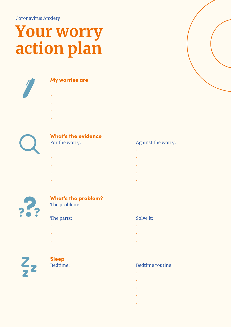### **Your worry action plan**



#### My worries are

- •
- •
- •
- •
- •



### **What's the evidence**<br>For the worry:

- •
- •
- •
- •
- •



#### What's the problem? The problem:

#### The parts: Solve it:

- •
- •
- •

 $\frac{Z}{2}$ 

### Sleep

- experience of the control of the control of the control of experience of the control of the control of the control of
- experience of the control of the control of the control of
- experimental control of the control of the control of
- experimental control of the control of the control of

#### Against the worry:

- 
- 
- 
- 
- 
- 

- 
- 
- 
- 

#### Bedtime: Bedtime routine:

- 
- 
- 
- 
- -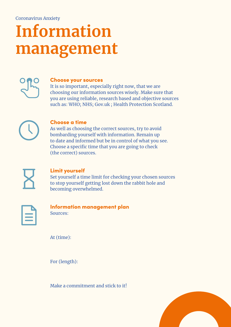## **Information management**



#### Choose your sources

It is so important, especially right now, that we are choosing our information sources wisely. Make sure that you are using reliable, research based and objective sources such as: WHO; NHS; Gov.uk ; Health Protection Scotland.



#### Choose a time

As well as choosing the correct sources, try to avoid bombarding yourself with information. Remain up to date and informed but be in control of what you see. Choose a specific time that you are going to check (the correct) sources.



#### Limit yourself

Set yourself a time limit for checking your chosen sources to stop yourself getting lost down the rabbit hole and becoming overwhelmed.



#### Information management plan Sources:

At (time):

For (length):

Make a commitment and stick to it!

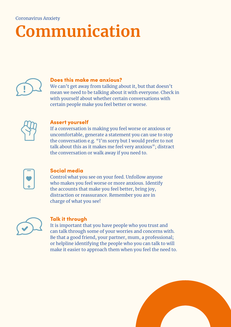## **Communication**



#### Does this make me anxious?

We can't get away from talking about it, but that doesn't mean we need to be talking about it with everyone. Check in with yourself about whether certain conversations with certain people make you feel better or worse.



#### Assert yourself

If a conversation is making you feel worse or anxious or uncomfortable, generate a statement you can use to stop the conversation e.g. "I'm sorry but I would prefer to not talk about this as it makes me feel very anxious"; distract the conversation or walk away if you need to.



#### Social media

Control what you see on your feed. Unfollow anyone who makes you feel worse or more anxious. Identify the accounts that make you feel better, bring joy, distraction or reassurance. Remember you are in charge of what you see!



#### Talk it through

It is important that you have people who you trust and can talk through some of your worries and concerns with. Be that a good friend, your partner, mum, a professional; or helpline identifying the people who you can talk to will make it easier to approach them when you feel the need to.

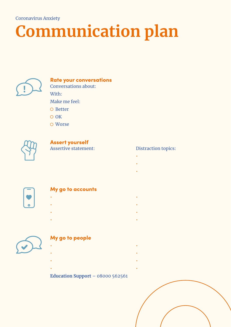# **Communication plan**



### Rate your conversations Conversations about: With:

Make me feel:

- $\Omega$  Better
- $\overline{O}$  OK
- Worse



### **Assert yourself**<br>Assertive statement:

- the contract of the contract of the contract of the contract of experience of the control of the control of the control of
- experience of the control of the control of the control of

#### My go to accounts

- •
- •
- •
- •
- 

### My go to people

- • • •
- •
- •

### **Education Support** – 08000 562561

#### Distraction topics:

- 
- 
- 
- 
- 
- -
	-
	-
	-
- 
- 
- 

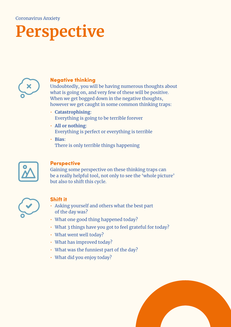## **Perspective**



#### Negative thinking

Undoubtedly, you will be having numerous thoughts about what is going on, and very few of these will be positive. When we get bogged down in the negative thoughts, however we get caught in some common thinking traps:

- **Catastrophising**: Everything is going to be terrible forever
- **All or nothing**: Everything is perfect or everything is terrible
- **Bias**: There is only terrible things happening



#### **Perspective**

Gaining some perspective on these thinking traps can be a really helpful tool, not only to see the 'whole picture' but also to shift this cycle.



#### Shift it

- Asking yourself and others what the best part of the day was?
- What one good thing happened today?
- What 3 things have you got to feel grateful for today?
- What went well today?
- What has improved today?
- What was the funniest part of the day?
- What did you enjoy today?

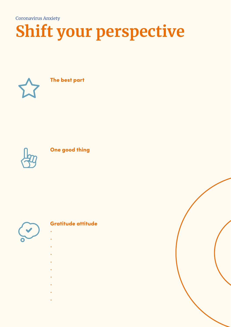# **Shift your perspective**



The best part



#### One good thing



#### Gratitude attitude

- •
- •
- •
- •
- •
- •
- •
- •
- •

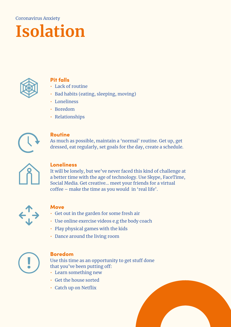# **Isolation**



#### Pit falls

- Lack of routine
- Bad habits (eating, sleeping, moving)
- Loneliness
- Boredom
- Relationships



#### Routine

As much as possible, maintain a 'normal' routine. Get up, get dressed, eat regularly, set goals for the day, create a schedule.



#### **Loneliness**

It will be lonely, but we've never faced this kind of challenge at a better time with the age of technology. Use Skype, FaceTime, Social Media. Get creative... meet your friends for a virtual coffee – make the time as you would in 'real life'.



#### **Move**

- Get out in the garden for some fresh air
- Use online exercise videos e.g the body coach
- Play physical games with the kids
- Dance around the living room



#### Boredom

Use this time as an opportunity to get stuff done that you've been putting off:

- Learn something new
- Get the house sorted
- Catch up on Netflix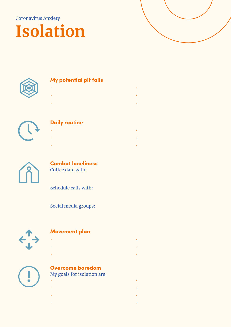### **Isolation**





#### My potential pit falls

- • • •
- •
	-
- 

### Daily routine

- •
- •
- •



#### Combat loneliness Coffee date with:

Schedule calls with:

Social media groups:



#### Movement plan

- • • •
- •



### Overcome boredom

My goals for isolation are:

- • • •
- •
- •
- 
- 
- - -
	-
	-
	-
	-
	-
	- -
		-
- 
- -
	-
	-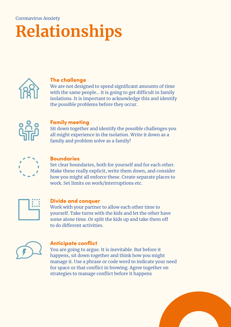### **Relationships** Coronavirus Anxiety



#### The challenge

We are not designed to spend significant amounts of time with the same people... it is going to get difficult in family isolations. It is important to acknowledge this and identify the possible problems before they occur.



#### Family meeting

Sit down together and identify the possible challenges you all might experience in the isolation. Write it down as a family and problem solve as a family!



#### **Boundaries**

Set clear boundaries, both for yourself and for each other. Make these really explicit, write them down, and consider how you might all enforce these. Create separate places to work. Set limits on work/interruptions etc.



#### Divide and conquer

Work with your partner to allow each other time to yourself. Take turns with the kids and let the other have some alone time. Or split the kids up and take them off to do different activities.



#### Anticipate conflict

You are going to argue. It is inevitable. But before it happens, sit down together and think how you might manage it. Use a phrase or code word to indicate your need for space or that conflict in brewing. Agree together on strategies to manage conflict before it happens

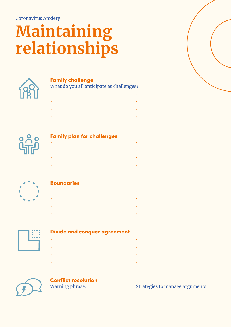# **Maintaining relationships**



#### Family challenge

What do you all anticipate as challenges?

- • • • • •
- •



#### Family plan for challenges

- • • • • •
- •



#### **Boundaries**

- •
- •
- •
- •



#### Divide and conquer agreement

- •
- •
- •
- •
- 



### **Conflict resolution**<br>Warning phrase:

#### Strategies to manage arguments:

- 
- 
- -
	-
- 
- - -
		-
- 
- -
	-
- 
- 
- 
- -
-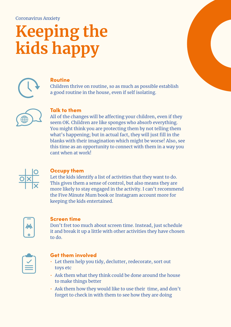# **Keeping the kids happy**



### Routine

Children thrive on routine, so as much as possible establish a good routine in the house, even if self isolating.



#### Talk to them

All of the changes will be affecting your children, even if they seem OK. Children are like sponges who absorb everything. You might think you are protecting them by not telling them what's happening; but in actual fact, they will just fill in the blanks with their imagination which might be worse! Also, see this time as an opportunity to connect with them in a way you cant when at work!



#### Occupy them

Let the kids identify a list of activities that they want to do. This gives them a sense of control, but also means they are more likely to stay engaged in the activity. I can't recommend the Five Minute Mum book or Instagram account more for keeping the kids entertained.



#### Screen time

Don't fret too much about screen time. Instead, just schedule it and break it up a little with other activities they have chosen to do.



#### Get them involved

- Let them help you tidy, declutter, redecorate, sort out toys etc
- Ask them what they think could be done around the house to make things better
- Ask them how they would like to use their time, and don't forget to check in with them to see how they are doing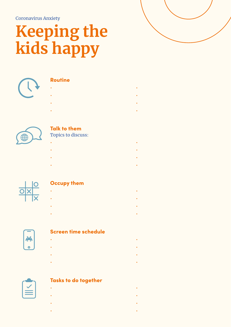# **Keeping the kids happy**



#### Routine

- •
- •
- •
- •
- 



### Talk to them

Topics to discuss:

- •
- •
- •
- •
- 

#### Occupy them

- •
- •
- •
- •



#### Screen time schedule

- •
- •
- •
- •
- 

#### Tasks to do together

- •
- •
- •
	-
- •

- 
- 
- 
- -
	-
- 
- 
- -
	-
	-
- 
- -
- 
- 
- 
- - -
		-
	-
	-